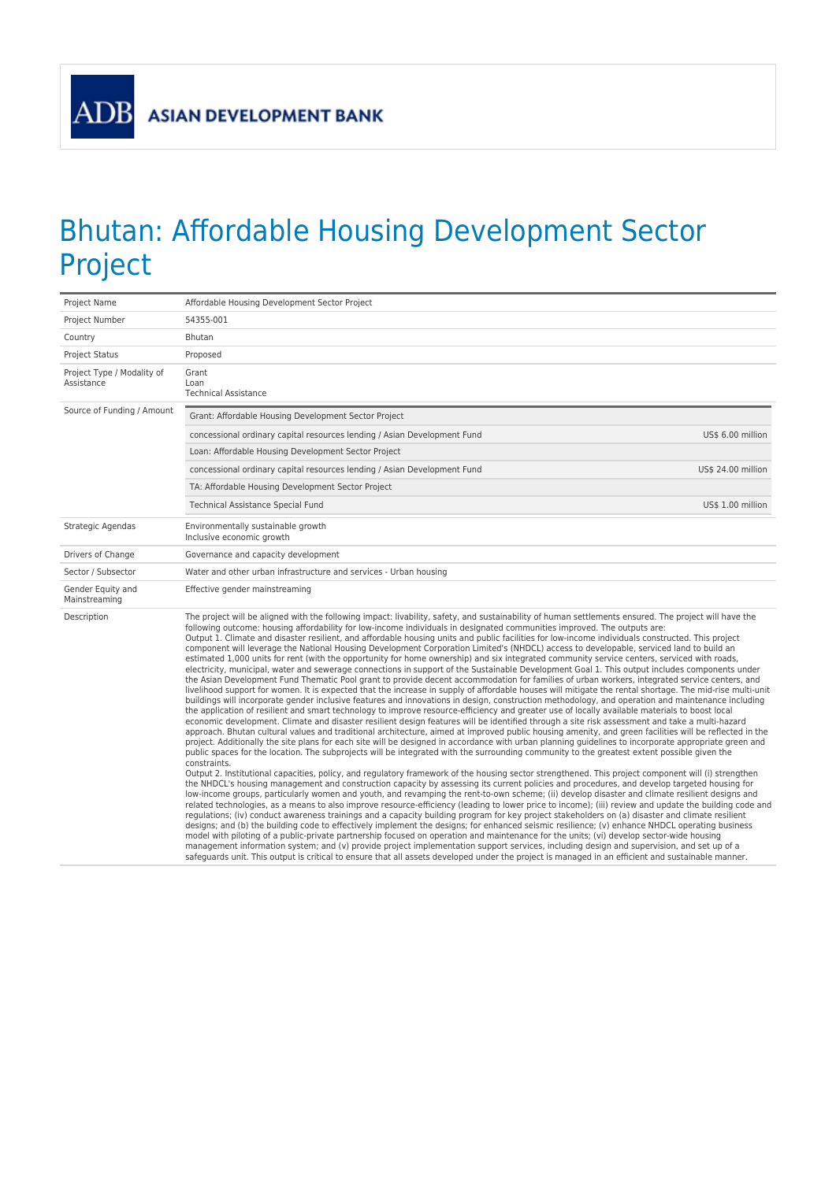**ADB** 

## Bhutan: Affordable Housing Development Sector Project

| Project Name                             | Affordable Housing Development Sector Project                                                                                                                                                                                                                                                                                                                                                                                                                                                                                                                                                                                                                                                                                                                                                                                                                                                                                                                                                                                                                                                                                                                                                                                                                                                                                                                                                                                                                                                                                                                                                                                                                                                                                                                                                                                                                                                                                                                                                                                                                                                                                                                                                                                                                                                                                                                                                                                                                                                                                                                                                                                                                                                                                                                                                                                                                                                                                                                                                                                                                                                                                                                                                                                                                                                                                                                                                                                                                                                                    |  |
|------------------------------------------|------------------------------------------------------------------------------------------------------------------------------------------------------------------------------------------------------------------------------------------------------------------------------------------------------------------------------------------------------------------------------------------------------------------------------------------------------------------------------------------------------------------------------------------------------------------------------------------------------------------------------------------------------------------------------------------------------------------------------------------------------------------------------------------------------------------------------------------------------------------------------------------------------------------------------------------------------------------------------------------------------------------------------------------------------------------------------------------------------------------------------------------------------------------------------------------------------------------------------------------------------------------------------------------------------------------------------------------------------------------------------------------------------------------------------------------------------------------------------------------------------------------------------------------------------------------------------------------------------------------------------------------------------------------------------------------------------------------------------------------------------------------------------------------------------------------------------------------------------------------------------------------------------------------------------------------------------------------------------------------------------------------------------------------------------------------------------------------------------------------------------------------------------------------------------------------------------------------------------------------------------------------------------------------------------------------------------------------------------------------------------------------------------------------------------------------------------------------------------------------------------------------------------------------------------------------------------------------------------------------------------------------------------------------------------------------------------------------------------------------------------------------------------------------------------------------------------------------------------------------------------------------------------------------------------------------------------------------------------------------------------------------------------------------------------------------------------------------------------------------------------------------------------------------------------------------------------------------------------------------------------------------------------------------------------------------------------------------------------------------------------------------------------------------------------------------------------------------------------------------------------------------|--|
| Project Number                           | 54355-001                                                                                                                                                                                                                                                                                                                                                                                                                                                                                                                                                                                                                                                                                                                                                                                                                                                                                                                                                                                                                                                                                                                                                                                                                                                                                                                                                                                                                                                                                                                                                                                                                                                                                                                                                                                                                                                                                                                                                                                                                                                                                                                                                                                                                                                                                                                                                                                                                                                                                                                                                                                                                                                                                                                                                                                                                                                                                                                                                                                                                                                                                                                                                                                                                                                                                                                                                                                                                                                                                                        |  |
| Country                                  | Bhutan                                                                                                                                                                                                                                                                                                                                                                                                                                                                                                                                                                                                                                                                                                                                                                                                                                                                                                                                                                                                                                                                                                                                                                                                                                                                                                                                                                                                                                                                                                                                                                                                                                                                                                                                                                                                                                                                                                                                                                                                                                                                                                                                                                                                                                                                                                                                                                                                                                                                                                                                                                                                                                                                                                                                                                                                                                                                                                                                                                                                                                                                                                                                                                                                                                                                                                                                                                                                                                                                                                           |  |
| <b>Project Status</b>                    | Proposed                                                                                                                                                                                                                                                                                                                                                                                                                                                                                                                                                                                                                                                                                                                                                                                                                                                                                                                                                                                                                                                                                                                                                                                                                                                                                                                                                                                                                                                                                                                                                                                                                                                                                                                                                                                                                                                                                                                                                                                                                                                                                                                                                                                                                                                                                                                                                                                                                                                                                                                                                                                                                                                                                                                                                                                                                                                                                                                                                                                                                                                                                                                                                                                                                                                                                                                                                                                                                                                                                                         |  |
| Project Type / Modality of<br>Assistance | Grant<br>Loan<br><b>Technical Assistance</b>                                                                                                                                                                                                                                                                                                                                                                                                                                                                                                                                                                                                                                                                                                                                                                                                                                                                                                                                                                                                                                                                                                                                                                                                                                                                                                                                                                                                                                                                                                                                                                                                                                                                                                                                                                                                                                                                                                                                                                                                                                                                                                                                                                                                                                                                                                                                                                                                                                                                                                                                                                                                                                                                                                                                                                                                                                                                                                                                                                                                                                                                                                                                                                                                                                                                                                                                                                                                                                                                     |  |
| Source of Funding / Amount               | Grant: Affordable Housing Development Sector Project                                                                                                                                                                                                                                                                                                                                                                                                                                                                                                                                                                                                                                                                                                                                                                                                                                                                                                                                                                                                                                                                                                                                                                                                                                                                                                                                                                                                                                                                                                                                                                                                                                                                                                                                                                                                                                                                                                                                                                                                                                                                                                                                                                                                                                                                                                                                                                                                                                                                                                                                                                                                                                                                                                                                                                                                                                                                                                                                                                                                                                                                                                                                                                                                                                                                                                                                                                                                                                                             |  |
|                                          | concessional ordinary capital resources lending / Asian Development Fund<br>US\$ 6.00 million                                                                                                                                                                                                                                                                                                                                                                                                                                                                                                                                                                                                                                                                                                                                                                                                                                                                                                                                                                                                                                                                                                                                                                                                                                                                                                                                                                                                                                                                                                                                                                                                                                                                                                                                                                                                                                                                                                                                                                                                                                                                                                                                                                                                                                                                                                                                                                                                                                                                                                                                                                                                                                                                                                                                                                                                                                                                                                                                                                                                                                                                                                                                                                                                                                                                                                                                                                                                                    |  |
|                                          | Loan: Affordable Housing Development Sector Project                                                                                                                                                                                                                                                                                                                                                                                                                                                                                                                                                                                                                                                                                                                                                                                                                                                                                                                                                                                                                                                                                                                                                                                                                                                                                                                                                                                                                                                                                                                                                                                                                                                                                                                                                                                                                                                                                                                                                                                                                                                                                                                                                                                                                                                                                                                                                                                                                                                                                                                                                                                                                                                                                                                                                                                                                                                                                                                                                                                                                                                                                                                                                                                                                                                                                                                                                                                                                                                              |  |
|                                          | concessional ordinary capital resources lending / Asian Development Fund<br>US\$ 24.00 million                                                                                                                                                                                                                                                                                                                                                                                                                                                                                                                                                                                                                                                                                                                                                                                                                                                                                                                                                                                                                                                                                                                                                                                                                                                                                                                                                                                                                                                                                                                                                                                                                                                                                                                                                                                                                                                                                                                                                                                                                                                                                                                                                                                                                                                                                                                                                                                                                                                                                                                                                                                                                                                                                                                                                                                                                                                                                                                                                                                                                                                                                                                                                                                                                                                                                                                                                                                                                   |  |
|                                          | TA: Affordable Housing Development Sector Project                                                                                                                                                                                                                                                                                                                                                                                                                                                                                                                                                                                                                                                                                                                                                                                                                                                                                                                                                                                                                                                                                                                                                                                                                                                                                                                                                                                                                                                                                                                                                                                                                                                                                                                                                                                                                                                                                                                                                                                                                                                                                                                                                                                                                                                                                                                                                                                                                                                                                                                                                                                                                                                                                                                                                                                                                                                                                                                                                                                                                                                                                                                                                                                                                                                                                                                                                                                                                                                                |  |
|                                          | <b>Technical Assistance Special Fund</b><br>US\$ 1.00 million                                                                                                                                                                                                                                                                                                                                                                                                                                                                                                                                                                                                                                                                                                                                                                                                                                                                                                                                                                                                                                                                                                                                                                                                                                                                                                                                                                                                                                                                                                                                                                                                                                                                                                                                                                                                                                                                                                                                                                                                                                                                                                                                                                                                                                                                                                                                                                                                                                                                                                                                                                                                                                                                                                                                                                                                                                                                                                                                                                                                                                                                                                                                                                                                                                                                                                                                                                                                                                                    |  |
| Strategic Agendas                        | Environmentally sustainable growth<br>Inclusive economic growth                                                                                                                                                                                                                                                                                                                                                                                                                                                                                                                                                                                                                                                                                                                                                                                                                                                                                                                                                                                                                                                                                                                                                                                                                                                                                                                                                                                                                                                                                                                                                                                                                                                                                                                                                                                                                                                                                                                                                                                                                                                                                                                                                                                                                                                                                                                                                                                                                                                                                                                                                                                                                                                                                                                                                                                                                                                                                                                                                                                                                                                                                                                                                                                                                                                                                                                                                                                                                                                  |  |
| Drivers of Change                        | Governance and capacity development                                                                                                                                                                                                                                                                                                                                                                                                                                                                                                                                                                                                                                                                                                                                                                                                                                                                                                                                                                                                                                                                                                                                                                                                                                                                                                                                                                                                                                                                                                                                                                                                                                                                                                                                                                                                                                                                                                                                                                                                                                                                                                                                                                                                                                                                                                                                                                                                                                                                                                                                                                                                                                                                                                                                                                                                                                                                                                                                                                                                                                                                                                                                                                                                                                                                                                                                                                                                                                                                              |  |
| Sector / Subsector                       | Water and other urban infrastructure and services - Urban housing                                                                                                                                                                                                                                                                                                                                                                                                                                                                                                                                                                                                                                                                                                                                                                                                                                                                                                                                                                                                                                                                                                                                                                                                                                                                                                                                                                                                                                                                                                                                                                                                                                                                                                                                                                                                                                                                                                                                                                                                                                                                                                                                                                                                                                                                                                                                                                                                                                                                                                                                                                                                                                                                                                                                                                                                                                                                                                                                                                                                                                                                                                                                                                                                                                                                                                                                                                                                                                                |  |
| Gender Equity and<br>Mainstreaming       | Effective gender mainstreaming                                                                                                                                                                                                                                                                                                                                                                                                                                                                                                                                                                                                                                                                                                                                                                                                                                                                                                                                                                                                                                                                                                                                                                                                                                                                                                                                                                                                                                                                                                                                                                                                                                                                                                                                                                                                                                                                                                                                                                                                                                                                                                                                                                                                                                                                                                                                                                                                                                                                                                                                                                                                                                                                                                                                                                                                                                                                                                                                                                                                                                                                                                                                                                                                                                                                                                                                                                                                                                                                                   |  |
| Description                              | The project will be aligned with the following impact: livability, safety, and sustainability of human settlements ensured. The project will have the<br>following outcome: housing affordability for low-income individuals in designated communities improved. The outputs are:<br>Output 1. Climate and disaster resilient, and affordable housing units and public facilities for low-income individuals constructed. This project<br>component will leverage the National Housing Development Corporation Limited's (NHDCL) access to developable, serviced land to build an<br>estimated 1,000 units for rent (with the opportunity for home ownership) and six integrated community service centers, serviced with roads,<br>electricity, municipal, water and sewerage connections in support of the Sustainable Development Goal 1. This output includes components under<br>the Asian Development Fund Thematic Pool grant to provide decent accommodation for families of urban workers, integrated service centers, and<br>livelihood support for women. It is expected that the increase in supply of affordable houses will mitigate the rental shortage. The mid-rise multi-unit<br>buildings will incorporate gender inclusive features and innovations in design, construction methodology, and operation and maintenance including<br>the application of resilient and smart technology to improve resource-efficiency and greater use of locally available materials to boost local<br>economic development. Climate and disaster resilient design features will be identified through a site risk assessment and take a multi-hazard<br>approach. Bhutan cultural values and traditional architecture, aimed at improved public housing amenity, and green facilities will be reflected in the<br>project. Additionally the site plans for each site will be designed in accordance with urban planning guidelines to incorporate appropriate green and<br>public spaces for the location. The subprojects will be integrated with the surrounding community to the greatest extent possible given the<br>constraints.<br>Output 2. Institutional capacities, policy, and regulatory framework of the housing sector strengthened. This project component will (i) strengthen<br>the NHDCL's housing management and construction capacity by assessing its current policies and procedures, and develop targeted housing for<br>low-income groups, particularly women and youth, and revamping the rent-to-own scheme; (ii) develop disaster and climate resilient designs and<br>related technologies, as a means to also improve resource-efficiency (leading to lower price to income); (iii) review and update the building code and<br>regulations; (iv) conduct awareness trainings and a capacity building program for key project stakeholders on (a) disaster and climate resilient<br>designs; and (b) the building code to effectively implement the designs; for enhanced seismic resilience; (v) enhance NHDCL operating business<br>model with piloting of a public-private partnership focused on operation and maintenance for the units; (vi) develop sector-wide housing<br>management information system; and (v) provide project implementation support services, including design and supervision, and set up of a<br>safeguards unit. This output is critical to ensure that all assets developed under the project is managed in an efficient and sustainable manner. |  |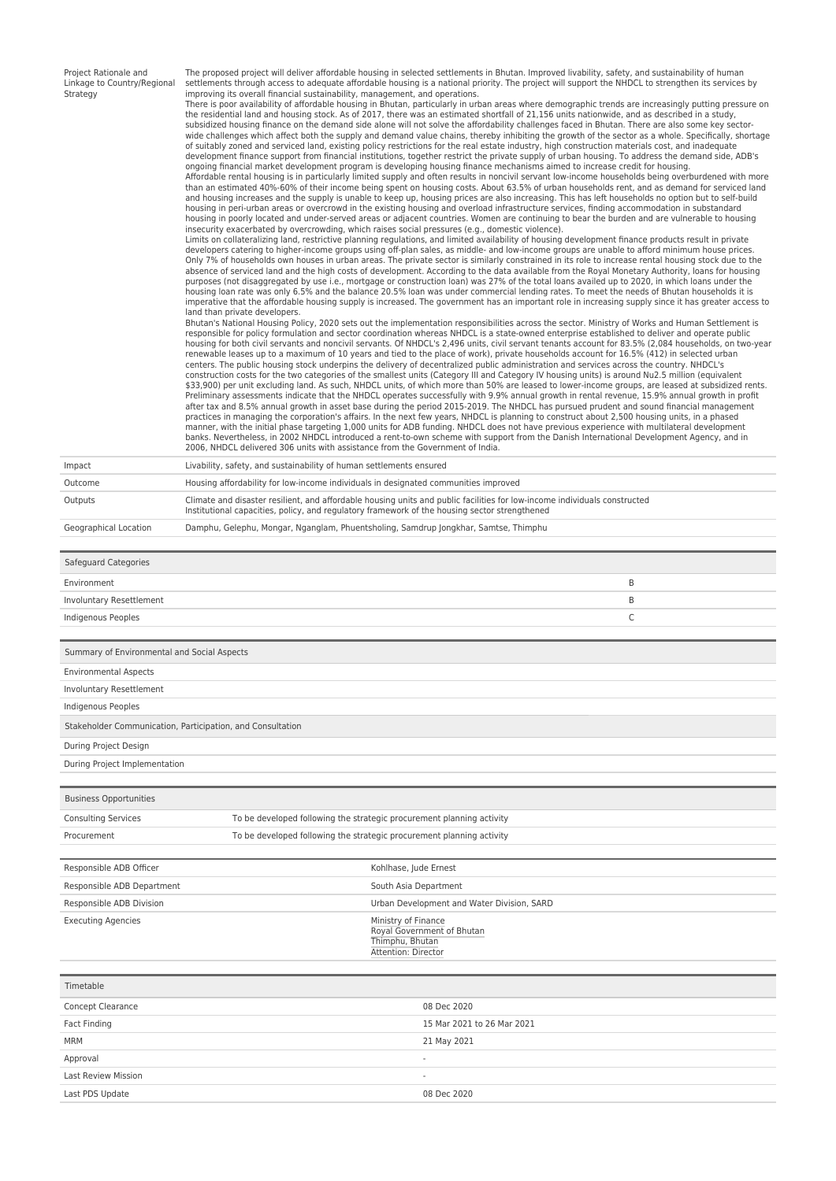| Project Rationale and<br>Linkage to Country/Regional<br>Strategy | The proposed project will deliver affordable housing in selected settlements in Bhutan. Improved livability, safety, and sustainability of human<br>settlements through access to adequate affordable housing is a national priority. The project will support the NHDCL to strengthen its services by<br>improving its overall financial sustainability, management, and operations.<br>There is poor availability of affordable housing in Bhutan, particularly in urban areas where demographic trends are increasingly putting pressure on<br>the residential land and housing stock. As of 2017, there was an estimated shortfall of 21,156 units nationwide, and as described in a study,<br>subsidized housing finance on the demand side alone will not solve the affordability challenges faced in Bhutan. There are also some key sector-<br>wide challenges which affect both the supply and demand value chains, thereby inhibiting the growth of the sector as a whole. Specifically, shortage<br>of suitably zoned and serviced land, existing policy restrictions for the real estate industry, high construction materials cost, and inadequate<br>development finance support from financial institutions, together restrict the private supply of urban housing. To address the demand side, ADB's<br>ongoing financial market development program is developing housing finance mechanisms aimed to increase credit for housing.<br>Affordable rental housing is in particularly limited supply and often results in noncivil servant low-income households being overburdened with more<br>than an estimated 40%-60% of their income being spent on housing costs. About 63.5% of urban households rent, and as demand for serviced land<br>and housing increases and the supply is unable to keep up, housing prices are also increasing. This has left households no option but to self-build<br>housing in peri-urban areas or overcrowd in the existing housing and overload infrastructure services, finding accommodation in substandard<br>housing in poorly located and under-served areas or adjacent countries. Women are continuing to bear the burden and are vulnerable to housing<br>insecurity exacerbated by overcrowding, which raises social pressures (e.g., domestic violence).<br>Limits on collateralizing land, restrictive planning regulations, and limited availability of housing development finance products result in private<br>developers catering to higher-income groups using off-plan sales, as middle- and low-income groups are unable to afford minimum house prices.<br>Only 7% of households own houses in urban areas. The private sector is similarly constrained in its role to increase rental housing stock due to the<br>absence of serviced land and the high costs of development. According to the data available from the Royal Monetary Authority, loans for housing<br>purposes (not disaggregated by use i.e., mortgage or construction loan) was 27% of the total loans availed up to 2020, in which loans under the<br>housing loan rate was only 6.5% and the balance 20.5% loan was under commercial lending rates. To meet the needs of Bhutan households it is<br>imperative that the affordable housing supply is increased. The government has an important role in increasing supply since it has greater access to<br>land than private developers.<br>Bhutan's National Housing Policy, 2020 sets out the implementation responsibilities across the sector. Ministry of Works and Human Settlement is<br>responsible for policy formulation and sector coordination whereas NHDCL is a state-owned enterprise established to deliver and operate public<br>housing for both civil servants and noncivil servants. Of NHDCL's 2,496 units, civil servant tenants account for 83.5% (2,084 households, on two-year<br>renewable leases up to a maximum of 10 years and tied to the place of work), private households account for 16.5% (412) in selected urban<br>centers. The public housing stock underpins the delivery of decentralized public administration and services across the country. NHDCL's<br>construction costs for the two categories of the smallest units (Category III and Category IV housing units) is around Nu2.5 million (equivalent<br>\$33,900) per unit excluding land. As such, NHDCL units, of which more than 50% are leased to lower-income groups, are leased at subsidized rents.<br>Preliminary assessments indicate that the NHDCL operates successfully with 9.9% annual growth in rental revenue, 15.9% annual growth in profit<br>after tax and 8.5% annual growth in asset base during the period 2015-2019. The NHDCL has pursued prudent and sound financial management<br>practices in managing the corporation's affairs. In the next few years, NHDCL is planning to construct about 2,500 housing units, in a phased<br>manner, with the initial phase targeting 1,000 units for ADB funding. NHDCL does not have previous experience with multilateral development<br>banks. Nevertheless, in 2002 NHDCL introduced a rent-to-own scheme with support from the Danish International Development Agency, and in<br>2006. NHDCL delivered 306 units with assistance from the Government of India. |  |
|------------------------------------------------------------------|--------------------------------------------------------------------------------------------------------------------------------------------------------------------------------------------------------------------------------------------------------------------------------------------------------------------------------------------------------------------------------------------------------------------------------------------------------------------------------------------------------------------------------------------------------------------------------------------------------------------------------------------------------------------------------------------------------------------------------------------------------------------------------------------------------------------------------------------------------------------------------------------------------------------------------------------------------------------------------------------------------------------------------------------------------------------------------------------------------------------------------------------------------------------------------------------------------------------------------------------------------------------------------------------------------------------------------------------------------------------------------------------------------------------------------------------------------------------------------------------------------------------------------------------------------------------------------------------------------------------------------------------------------------------------------------------------------------------------------------------------------------------------------------------------------------------------------------------------------------------------------------------------------------------------------------------------------------------------------------------------------------------------------------------------------------------------------------------------------------------------------------------------------------------------------------------------------------------------------------------------------------------------------------------------------------------------------------------------------------------------------------------------------------------------------------------------------------------------------------------------------------------------------------------------------------------------------------------------------------------------------------------------------------------------------------------------------------------------------------------------------------------------------------------------------------------------------------------------------------------------------------------------------------------------------------------------------------------------------------------------------------------------------------------------------------------------------------------------------------------------------------------------------------------------------------------------------------------------------------------------------------------------------------------------------------------------------------------------------------------------------------------------------------------------------------------------------------------------------------------------------------------------------------------------------------------------------------------------------------------------------------------------------------------------------------------------------------------------------------------------------------------------------------------------------------------------------------------------------------------------------------------------------------------------------------------------------------------------------------------------------------------------------------------------------------------------------------------------------------------------------------------------------------------------------------------------------------------------------------------------------------------------------------------------------------------------------------------------------------------------------------------------------------------------------------------------------------------------------------------------------------------------------------------------------------------------------------------------------------------------------------------------------------------------------------------------------------------------------------------------------------------------------------------------------------------------------------------------------------------------------------------------------------------------------------------------------------------------------------------------------------------------------------------------------------------------------------------------------------------------------------------------------------------------------------------------------------------------------------------------------------------------------------------------------------------------------------|--|
| Impact                                                           | Livability, safety, and sustainability of human settlements ensured                                                                                                                                                                                                                                                                                                                                                                                                                                                                                                                                                                                                                                                                                                                                                                                                                                                                                                                                                                                                                                                                                                                                                                                                                                                                                                                                                                                                                                                                                                                                                                                                                                                                                                                                                                                                                                                                                                                                                                                                                                                                                                                                                                                                                                                                                                                                                                                                                                                                                                                                                                                                                                                                                                                                                                                                                                                                                                                                                                                                                                                                                                                                                                                                                                                                                                                                                                                                                                                                                                                                                                                                                                                                                                                                                                                                                                                                                                                                                                                                                                                                                                                                                                                                                                                                                                                                                                                                                                                                                                                                                                                                                                                                                                                                                                                                                                                                                                                                                                                                                                                                                                                                                                                                                                                                  |  |
| Outcome                                                          | Housing affordability for low-income individuals in designated communities improved                                                                                                                                                                                                                                                                                                                                                                                                                                                                                                                                                                                                                                                                                                                                                                                                                                                                                                                                                                                                                                                                                                                                                                                                                                                                                                                                                                                                                                                                                                                                                                                                                                                                                                                                                                                                                                                                                                                                                                                                                                                                                                                                                                                                                                                                                                                                                                                                                                                                                                                                                                                                                                                                                                                                                                                                                                                                                                                                                                                                                                                                                                                                                                                                                                                                                                                                                                                                                                                                                                                                                                                                                                                                                                                                                                                                                                                                                                                                                                                                                                                                                                                                                                                                                                                                                                                                                                                                                                                                                                                                                                                                                                                                                                                                                                                                                                                                                                                                                                                                                                                                                                                                                                                                                                                  |  |
| Outputs                                                          | Climate and disaster resilient, and affordable housing units and public facilities for low-income individuals constructed<br>Institutional capacities, policy, and regulatory framework of the housing sector strengthened                                                                                                                                                                                                                                                                                                                                                                                                                                                                                                                                                                                                                                                                                                                                                                                                                                                                                                                                                                                                                                                                                                                                                                                                                                                                                                                                                                                                                                                                                                                                                                                                                                                                                                                                                                                                                                                                                                                                                                                                                                                                                                                                                                                                                                                                                                                                                                                                                                                                                                                                                                                                                                                                                                                                                                                                                                                                                                                                                                                                                                                                                                                                                                                                                                                                                                                                                                                                                                                                                                                                                                                                                                                                                                                                                                                                                                                                                                                                                                                                                                                                                                                                                                                                                                                                                                                                                                                                                                                                                                                                                                                                                                                                                                                                                                                                                                                                                                                                                                                                                                                                                                           |  |
| Geographical Location                                            | Damphu, Gelephu, Mongar, Nganglam, Phuentsholing, Samdrup Jongkhar, Samtse, Thimphu                                                                                                                                                                                                                                                                                                                                                                                                                                                                                                                                                                                                                                                                                                                                                                                                                                                                                                                                                                                                                                                                                                                                                                                                                                                                                                                                                                                                                                                                                                                                                                                                                                                                                                                                                                                                                                                                                                                                                                                                                                                                                                                                                                                                                                                                                                                                                                                                                                                                                                                                                                                                                                                                                                                                                                                                                                                                                                                                                                                                                                                                                                                                                                                                                                                                                                                                                                                                                                                                                                                                                                                                                                                                                                                                                                                                                                                                                                                                                                                                                                                                                                                                                                                                                                                                                                                                                                                                                                                                                                                                                                                                                                                                                                                                                                                                                                                                                                                                                                                                                                                                                                                                                                                                                                                  |  |
| Safeguard Categories                                             |                                                                                                                                                                                                                                                                                                                                                                                                                                                                                                                                                                                                                                                                                                                                                                                                                                                                                                                                                                                                                                                                                                                                                                                                                                                                                                                                                                                                                                                                                                                                                                                                                                                                                                                                                                                                                                                                                                                                                                                                                                                                                                                                                                                                                                                                                                                                                                                                                                                                                                                                                                                                                                                                                                                                                                                                                                                                                                                                                                                                                                                                                                                                                                                                                                                                                                                                                                                                                                                                                                                                                                                                                                                                                                                                                                                                                                                                                                                                                                                                                                                                                                                                                                                                                                                                                                                                                                                                                                                                                                                                                                                                                                                                                                                                                                                                                                                                                                                                                                                                                                                                                                                                                                                                                                                                                                                                      |  |
|                                                                  |                                                                                                                                                                                                                                                                                                                                                                                                                                                                                                                                                                                                                                                                                                                                                                                                                                                                                                                                                                                                                                                                                                                                                                                                                                                                                                                                                                                                                                                                                                                                                                                                                                                                                                                                                                                                                                                                                                                                                                                                                                                                                                                                                                                                                                                                                                                                                                                                                                                                                                                                                                                                                                                                                                                                                                                                                                                                                                                                                                                                                                                                                                                                                                                                                                                                                                                                                                                                                                                                                                                                                                                                                                                                                                                                                                                                                                                                                                                                                                                                                                                                                                                                                                                                                                                                                                                                                                                                                                                                                                                                                                                                                                                                                                                                                                                                                                                                                                                                                                                                                                                                                                                                                                                                                                                                                                                                      |  |
| Environment                                                      | B                                                                                                                                                                                                                                                                                                                                                                                                                                                                                                                                                                                                                                                                                                                                                                                                                                                                                                                                                                                                                                                                                                                                                                                                                                                                                                                                                                                                                                                                                                                                                                                                                                                                                                                                                                                                                                                                                                                                                                                                                                                                                                                                                                                                                                                                                                                                                                                                                                                                                                                                                                                                                                                                                                                                                                                                                                                                                                                                                                                                                                                                                                                                                                                                                                                                                                                                                                                                                                                                                                                                                                                                                                                                                                                                                                                                                                                                                                                                                                                                                                                                                                                                                                                                                                                                                                                                                                                                                                                                                                                                                                                                                                                                                                                                                                                                                                                                                                                                                                                                                                                                                                                                                                                                                                                                                                                                    |  |
| Involuntary Resettlement                                         | B                                                                                                                                                                                                                                                                                                                                                                                                                                                                                                                                                                                                                                                                                                                                                                                                                                                                                                                                                                                                                                                                                                                                                                                                                                                                                                                                                                                                                                                                                                                                                                                                                                                                                                                                                                                                                                                                                                                                                                                                                                                                                                                                                                                                                                                                                                                                                                                                                                                                                                                                                                                                                                                                                                                                                                                                                                                                                                                                                                                                                                                                                                                                                                                                                                                                                                                                                                                                                                                                                                                                                                                                                                                                                                                                                                                                                                                                                                                                                                                                                                                                                                                                                                                                                                                                                                                                                                                                                                                                                                                                                                                                                                                                                                                                                                                                                                                                                                                                                                                                                                                                                                                                                                                                                                                                                                                                    |  |
| Indigenous Peoples                                               | C                                                                                                                                                                                                                                                                                                                                                                                                                                                                                                                                                                                                                                                                                                                                                                                                                                                                                                                                                                                                                                                                                                                                                                                                                                                                                                                                                                                                                                                                                                                                                                                                                                                                                                                                                                                                                                                                                                                                                                                                                                                                                                                                                                                                                                                                                                                                                                                                                                                                                                                                                                                                                                                                                                                                                                                                                                                                                                                                                                                                                                                                                                                                                                                                                                                                                                                                                                                                                                                                                                                                                                                                                                                                                                                                                                                                                                                                                                                                                                                                                                                                                                                                                                                                                                                                                                                                                                                                                                                                                                                                                                                                                                                                                                                                                                                                                                                                                                                                                                                                                                                                                                                                                                                                                                                                                                                                    |  |
| Summary of Environmental and Social Aspects                      |                                                                                                                                                                                                                                                                                                                                                                                                                                                                                                                                                                                                                                                                                                                                                                                                                                                                                                                                                                                                                                                                                                                                                                                                                                                                                                                                                                                                                                                                                                                                                                                                                                                                                                                                                                                                                                                                                                                                                                                                                                                                                                                                                                                                                                                                                                                                                                                                                                                                                                                                                                                                                                                                                                                                                                                                                                                                                                                                                                                                                                                                                                                                                                                                                                                                                                                                                                                                                                                                                                                                                                                                                                                                                                                                                                                                                                                                                                                                                                                                                                                                                                                                                                                                                                                                                                                                                                                                                                                                                                                                                                                                                                                                                                                                                                                                                                                                                                                                                                                                                                                                                                                                                                                                                                                                                                                                      |  |
| <b>Environmental Aspects</b>                                     |                                                                                                                                                                                                                                                                                                                                                                                                                                                                                                                                                                                                                                                                                                                                                                                                                                                                                                                                                                                                                                                                                                                                                                                                                                                                                                                                                                                                                                                                                                                                                                                                                                                                                                                                                                                                                                                                                                                                                                                                                                                                                                                                                                                                                                                                                                                                                                                                                                                                                                                                                                                                                                                                                                                                                                                                                                                                                                                                                                                                                                                                                                                                                                                                                                                                                                                                                                                                                                                                                                                                                                                                                                                                                                                                                                                                                                                                                                                                                                                                                                                                                                                                                                                                                                                                                                                                                                                                                                                                                                                                                                                                                                                                                                                                                                                                                                                                                                                                                                                                                                                                                                                                                                                                                                                                                                                                      |  |
| Involuntary Resettlement                                         |                                                                                                                                                                                                                                                                                                                                                                                                                                                                                                                                                                                                                                                                                                                                                                                                                                                                                                                                                                                                                                                                                                                                                                                                                                                                                                                                                                                                                                                                                                                                                                                                                                                                                                                                                                                                                                                                                                                                                                                                                                                                                                                                                                                                                                                                                                                                                                                                                                                                                                                                                                                                                                                                                                                                                                                                                                                                                                                                                                                                                                                                                                                                                                                                                                                                                                                                                                                                                                                                                                                                                                                                                                                                                                                                                                                                                                                                                                                                                                                                                                                                                                                                                                                                                                                                                                                                                                                                                                                                                                                                                                                                                                                                                                                                                                                                                                                                                                                                                                                                                                                                                                                                                                                                                                                                                                                                      |  |
| Indigenous Peoples                                               |                                                                                                                                                                                                                                                                                                                                                                                                                                                                                                                                                                                                                                                                                                                                                                                                                                                                                                                                                                                                                                                                                                                                                                                                                                                                                                                                                                                                                                                                                                                                                                                                                                                                                                                                                                                                                                                                                                                                                                                                                                                                                                                                                                                                                                                                                                                                                                                                                                                                                                                                                                                                                                                                                                                                                                                                                                                                                                                                                                                                                                                                                                                                                                                                                                                                                                                                                                                                                                                                                                                                                                                                                                                                                                                                                                                                                                                                                                                                                                                                                                                                                                                                                                                                                                                                                                                                                                                                                                                                                                                                                                                                                                                                                                                                                                                                                                                                                                                                                                                                                                                                                                                                                                                                                                                                                                                                      |  |
|                                                                  | Stakeholder Communication, Participation, and Consultation                                                                                                                                                                                                                                                                                                                                                                                                                                                                                                                                                                                                                                                                                                                                                                                                                                                                                                                                                                                                                                                                                                                                                                                                                                                                                                                                                                                                                                                                                                                                                                                                                                                                                                                                                                                                                                                                                                                                                                                                                                                                                                                                                                                                                                                                                                                                                                                                                                                                                                                                                                                                                                                                                                                                                                                                                                                                                                                                                                                                                                                                                                                                                                                                                                                                                                                                                                                                                                                                                                                                                                                                                                                                                                                                                                                                                                                                                                                                                                                                                                                                                                                                                                                                                                                                                                                                                                                                                                                                                                                                                                                                                                                                                                                                                                                                                                                                                                                                                                                                                                                                                                                                                                                                                                                                           |  |
| During Project Design                                            |                                                                                                                                                                                                                                                                                                                                                                                                                                                                                                                                                                                                                                                                                                                                                                                                                                                                                                                                                                                                                                                                                                                                                                                                                                                                                                                                                                                                                                                                                                                                                                                                                                                                                                                                                                                                                                                                                                                                                                                                                                                                                                                                                                                                                                                                                                                                                                                                                                                                                                                                                                                                                                                                                                                                                                                                                                                                                                                                                                                                                                                                                                                                                                                                                                                                                                                                                                                                                                                                                                                                                                                                                                                                                                                                                                                                                                                                                                                                                                                                                                                                                                                                                                                                                                                                                                                                                                                                                                                                                                                                                                                                                                                                                                                                                                                                                                                                                                                                                                                                                                                                                                                                                                                                                                                                                                                                      |  |
| During Project Implementation                                    |                                                                                                                                                                                                                                                                                                                                                                                                                                                                                                                                                                                                                                                                                                                                                                                                                                                                                                                                                                                                                                                                                                                                                                                                                                                                                                                                                                                                                                                                                                                                                                                                                                                                                                                                                                                                                                                                                                                                                                                                                                                                                                                                                                                                                                                                                                                                                                                                                                                                                                                                                                                                                                                                                                                                                                                                                                                                                                                                                                                                                                                                                                                                                                                                                                                                                                                                                                                                                                                                                                                                                                                                                                                                                                                                                                                                                                                                                                                                                                                                                                                                                                                                                                                                                                                                                                                                                                                                                                                                                                                                                                                                                                                                                                                                                                                                                                                                                                                                                                                                                                                                                                                                                                                                                                                                                                                                      |  |
|                                                                  |                                                                                                                                                                                                                                                                                                                                                                                                                                                                                                                                                                                                                                                                                                                                                                                                                                                                                                                                                                                                                                                                                                                                                                                                                                                                                                                                                                                                                                                                                                                                                                                                                                                                                                                                                                                                                                                                                                                                                                                                                                                                                                                                                                                                                                                                                                                                                                                                                                                                                                                                                                                                                                                                                                                                                                                                                                                                                                                                                                                                                                                                                                                                                                                                                                                                                                                                                                                                                                                                                                                                                                                                                                                                                                                                                                                                                                                                                                                                                                                                                                                                                                                                                                                                                                                                                                                                                                                                                                                                                                                                                                                                                                                                                                                                                                                                                                                                                                                                                                                                                                                                                                                                                                                                                                                                                                                                      |  |
| <b>Business Opportunities</b>                                    |                                                                                                                                                                                                                                                                                                                                                                                                                                                                                                                                                                                                                                                                                                                                                                                                                                                                                                                                                                                                                                                                                                                                                                                                                                                                                                                                                                                                                                                                                                                                                                                                                                                                                                                                                                                                                                                                                                                                                                                                                                                                                                                                                                                                                                                                                                                                                                                                                                                                                                                                                                                                                                                                                                                                                                                                                                                                                                                                                                                                                                                                                                                                                                                                                                                                                                                                                                                                                                                                                                                                                                                                                                                                                                                                                                                                                                                                                                                                                                                                                                                                                                                                                                                                                                                                                                                                                                                                                                                                                                                                                                                                                                                                                                                                                                                                                                                                                                                                                                                                                                                                                                                                                                                                                                                                                                                                      |  |
| <b>Consulting Services</b>                                       | To be developed following the strategic procurement planning activity                                                                                                                                                                                                                                                                                                                                                                                                                                                                                                                                                                                                                                                                                                                                                                                                                                                                                                                                                                                                                                                                                                                                                                                                                                                                                                                                                                                                                                                                                                                                                                                                                                                                                                                                                                                                                                                                                                                                                                                                                                                                                                                                                                                                                                                                                                                                                                                                                                                                                                                                                                                                                                                                                                                                                                                                                                                                                                                                                                                                                                                                                                                                                                                                                                                                                                                                                                                                                                                                                                                                                                                                                                                                                                                                                                                                                                                                                                                                                                                                                                                                                                                                                                                                                                                                                                                                                                                                                                                                                                                                                                                                                                                                                                                                                                                                                                                                                                                                                                                                                                                                                                                                                                                                                                                                |  |
| Procurement                                                      | To be developed following the strategic procurement planning activity                                                                                                                                                                                                                                                                                                                                                                                                                                                                                                                                                                                                                                                                                                                                                                                                                                                                                                                                                                                                                                                                                                                                                                                                                                                                                                                                                                                                                                                                                                                                                                                                                                                                                                                                                                                                                                                                                                                                                                                                                                                                                                                                                                                                                                                                                                                                                                                                                                                                                                                                                                                                                                                                                                                                                                                                                                                                                                                                                                                                                                                                                                                                                                                                                                                                                                                                                                                                                                                                                                                                                                                                                                                                                                                                                                                                                                                                                                                                                                                                                                                                                                                                                                                                                                                                                                                                                                                                                                                                                                                                                                                                                                                                                                                                                                                                                                                                                                                                                                                                                                                                                                                                                                                                                                                                |  |
|                                                                  |                                                                                                                                                                                                                                                                                                                                                                                                                                                                                                                                                                                                                                                                                                                                                                                                                                                                                                                                                                                                                                                                                                                                                                                                                                                                                                                                                                                                                                                                                                                                                                                                                                                                                                                                                                                                                                                                                                                                                                                                                                                                                                                                                                                                                                                                                                                                                                                                                                                                                                                                                                                                                                                                                                                                                                                                                                                                                                                                                                                                                                                                                                                                                                                                                                                                                                                                                                                                                                                                                                                                                                                                                                                                                                                                                                                                                                                                                                                                                                                                                                                                                                                                                                                                                                                                                                                                                                                                                                                                                                                                                                                                                                                                                                                                                                                                                                                                                                                                                                                                                                                                                                                                                                                                                                                                                                                                      |  |
| Responsible ADB Officer<br>Responsible ADB Department            | Kohlhase, Jude Ernest<br>South Asia Department                                                                                                                                                                                                                                                                                                                                                                                                                                                                                                                                                                                                                                                                                                                                                                                                                                                                                                                                                                                                                                                                                                                                                                                                                                                                                                                                                                                                                                                                                                                                                                                                                                                                                                                                                                                                                                                                                                                                                                                                                                                                                                                                                                                                                                                                                                                                                                                                                                                                                                                                                                                                                                                                                                                                                                                                                                                                                                                                                                                                                                                                                                                                                                                                                                                                                                                                                                                                                                                                                                                                                                                                                                                                                                                                                                                                                                                                                                                                                                                                                                                                                                                                                                                                                                                                                                                                                                                                                                                                                                                                                                                                                                                                                                                                                                                                                                                                                                                                                                                                                                                                                                                                                                                                                                                                                       |  |
| Responsible ADB Division                                         | Urban Development and Water Division, SARD                                                                                                                                                                                                                                                                                                                                                                                                                                                                                                                                                                                                                                                                                                                                                                                                                                                                                                                                                                                                                                                                                                                                                                                                                                                                                                                                                                                                                                                                                                                                                                                                                                                                                                                                                                                                                                                                                                                                                                                                                                                                                                                                                                                                                                                                                                                                                                                                                                                                                                                                                                                                                                                                                                                                                                                                                                                                                                                                                                                                                                                                                                                                                                                                                                                                                                                                                                                                                                                                                                                                                                                                                                                                                                                                                                                                                                                                                                                                                                                                                                                                                                                                                                                                                                                                                                                                                                                                                                                                                                                                                                                                                                                                                                                                                                                                                                                                                                                                                                                                                                                                                                                                                                                                                                                                                           |  |
| <b>Executing Agencies</b>                                        | Ministry of Finance                                                                                                                                                                                                                                                                                                                                                                                                                                                                                                                                                                                                                                                                                                                                                                                                                                                                                                                                                                                                                                                                                                                                                                                                                                                                                                                                                                                                                                                                                                                                                                                                                                                                                                                                                                                                                                                                                                                                                                                                                                                                                                                                                                                                                                                                                                                                                                                                                                                                                                                                                                                                                                                                                                                                                                                                                                                                                                                                                                                                                                                                                                                                                                                                                                                                                                                                                                                                                                                                                                                                                                                                                                                                                                                                                                                                                                                                                                                                                                                                                                                                                                                                                                                                                                                                                                                                                                                                                                                                                                                                                                                                                                                                                                                                                                                                                                                                                                                                                                                                                                                                                                                                                                                                                                                                                                                  |  |
|                                                                  | Royal Government of Bhutan<br>Thimphu, Bhutan<br>Attention: Director                                                                                                                                                                                                                                                                                                                                                                                                                                                                                                                                                                                                                                                                                                                                                                                                                                                                                                                                                                                                                                                                                                                                                                                                                                                                                                                                                                                                                                                                                                                                                                                                                                                                                                                                                                                                                                                                                                                                                                                                                                                                                                                                                                                                                                                                                                                                                                                                                                                                                                                                                                                                                                                                                                                                                                                                                                                                                                                                                                                                                                                                                                                                                                                                                                                                                                                                                                                                                                                                                                                                                                                                                                                                                                                                                                                                                                                                                                                                                                                                                                                                                                                                                                                                                                                                                                                                                                                                                                                                                                                                                                                                                                                                                                                                                                                                                                                                                                                                                                                                                                                                                                                                                                                                                                                                 |  |
| Timetable                                                        |                                                                                                                                                                                                                                                                                                                                                                                                                                                                                                                                                                                                                                                                                                                                                                                                                                                                                                                                                                                                                                                                                                                                                                                                                                                                                                                                                                                                                                                                                                                                                                                                                                                                                                                                                                                                                                                                                                                                                                                                                                                                                                                                                                                                                                                                                                                                                                                                                                                                                                                                                                                                                                                                                                                                                                                                                                                                                                                                                                                                                                                                                                                                                                                                                                                                                                                                                                                                                                                                                                                                                                                                                                                                                                                                                                                                                                                                                                                                                                                                                                                                                                                                                                                                                                                                                                                                                                                                                                                                                                                                                                                                                                                                                                                                                                                                                                                                                                                                                                                                                                                                                                                                                                                                                                                                                                                                      |  |
|                                                                  |                                                                                                                                                                                                                                                                                                                                                                                                                                                                                                                                                                                                                                                                                                                                                                                                                                                                                                                                                                                                                                                                                                                                                                                                                                                                                                                                                                                                                                                                                                                                                                                                                                                                                                                                                                                                                                                                                                                                                                                                                                                                                                                                                                                                                                                                                                                                                                                                                                                                                                                                                                                                                                                                                                                                                                                                                                                                                                                                                                                                                                                                                                                                                                                                                                                                                                                                                                                                                                                                                                                                                                                                                                                                                                                                                                                                                                                                                                                                                                                                                                                                                                                                                                                                                                                                                                                                                                                                                                                                                                                                                                                                                                                                                                                                                                                                                                                                                                                                                                                                                                                                                                                                                                                                                                                                                                                                      |  |
| Concept Clearance                                                | 08 Dec 2020<br>15 Mar 2021 to 26 Mar 2021                                                                                                                                                                                                                                                                                                                                                                                                                                                                                                                                                                                                                                                                                                                                                                                                                                                                                                                                                                                                                                                                                                                                                                                                                                                                                                                                                                                                                                                                                                                                                                                                                                                                                                                                                                                                                                                                                                                                                                                                                                                                                                                                                                                                                                                                                                                                                                                                                                                                                                                                                                                                                                                                                                                                                                                                                                                                                                                                                                                                                                                                                                                                                                                                                                                                                                                                                                                                                                                                                                                                                                                                                                                                                                                                                                                                                                                                                                                                                                                                                                                                                                                                                                                                                                                                                                                                                                                                                                                                                                                                                                                                                                                                                                                                                                                                                                                                                                                                                                                                                                                                                                                                                                                                                                                                                            |  |
| Fact Finding<br>MRM                                              |                                                                                                                                                                                                                                                                                                                                                                                                                                                                                                                                                                                                                                                                                                                                                                                                                                                                                                                                                                                                                                                                                                                                                                                                                                                                                                                                                                                                                                                                                                                                                                                                                                                                                                                                                                                                                                                                                                                                                                                                                                                                                                                                                                                                                                                                                                                                                                                                                                                                                                                                                                                                                                                                                                                                                                                                                                                                                                                                                                                                                                                                                                                                                                                                                                                                                                                                                                                                                                                                                                                                                                                                                                                                                                                                                                                                                                                                                                                                                                                                                                                                                                                                                                                                                                                                                                                                                                                                                                                                                                                                                                                                                                                                                                                                                                                                                                                                                                                                                                                                                                                                                                                                                                                                                                                                                                                                      |  |
|                                                                  | 21 May 2021                                                                                                                                                                                                                                                                                                                                                                                                                                                                                                                                                                                                                                                                                                                                                                                                                                                                                                                                                                                                                                                                                                                                                                                                                                                                                                                                                                                                                                                                                                                                                                                                                                                                                                                                                                                                                                                                                                                                                                                                                                                                                                                                                                                                                                                                                                                                                                                                                                                                                                                                                                                                                                                                                                                                                                                                                                                                                                                                                                                                                                                                                                                                                                                                                                                                                                                                                                                                                                                                                                                                                                                                                                                                                                                                                                                                                                                                                                                                                                                                                                                                                                                                                                                                                                                                                                                                                                                                                                                                                                                                                                                                                                                                                                                                                                                                                                                                                                                                                                                                                                                                                                                                                                                                                                                                                                                          |  |
| Approval<br>Last Review Mission                                  |                                                                                                                                                                                                                                                                                                                                                                                                                                                                                                                                                                                                                                                                                                                                                                                                                                                                                                                                                                                                                                                                                                                                                                                                                                                                                                                                                                                                                                                                                                                                                                                                                                                                                                                                                                                                                                                                                                                                                                                                                                                                                                                                                                                                                                                                                                                                                                                                                                                                                                                                                                                                                                                                                                                                                                                                                                                                                                                                                                                                                                                                                                                                                                                                                                                                                                                                                                                                                                                                                                                                                                                                                                                                                                                                                                                                                                                                                                                                                                                                                                                                                                                                                                                                                                                                                                                                                                                                                                                                                                                                                                                                                                                                                                                                                                                                                                                                                                                                                                                                                                                                                                                                                                                                                                                                                                                                      |  |
| Last PDS Update                                                  | 08 Dec 2020                                                                                                                                                                                                                                                                                                                                                                                                                                                                                                                                                                                                                                                                                                                                                                                                                                                                                                                                                                                                                                                                                                                                                                                                                                                                                                                                                                                                                                                                                                                                                                                                                                                                                                                                                                                                                                                                                                                                                                                                                                                                                                                                                                                                                                                                                                                                                                                                                                                                                                                                                                                                                                                                                                                                                                                                                                                                                                                                                                                                                                                                                                                                                                                                                                                                                                                                                                                                                                                                                                                                                                                                                                                                                                                                                                                                                                                                                                                                                                                                                                                                                                                                                                                                                                                                                                                                                                                                                                                                                                                                                                                                                                                                                                                                                                                                                                                                                                                                                                                                                                                                                                                                                                                                                                                                                                                          |  |